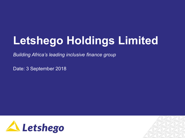# **Letshego Holdings Limited**

*Building Africa's leading inclusive finance group*

Date: 3 September 2018



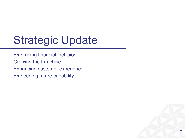# Strategic Update

Embracing financial inclusion Growing the franchise Enhancing customer experience Embedding future capability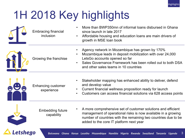

# 1H 2018 Key highlights

|              | <b>Embracing financial</b><br>inclusion | More than BWP350mn of informal loans disbursed in Ghana<br>since launch in late 2017<br>Affordable housing and education loans are main drivers of<br>growth in MSE loan book                                                                                                 |
|--------------|-----------------------------------------|-------------------------------------------------------------------------------------------------------------------------------------------------------------------------------------------------------------------------------------------------------------------------------|
|              | Growing the franchise                   | Agency network in Mozambique has grown by 170%<br>Mozambique leads in deposit mobilization with over 24,000<br>$\bullet$<br>LetsGo accounts opened so far<br>Sales Governance Framework has been rolled out to both DSA<br>$\bullet$<br>and other sales teams in 10 countries |
| $\mathbf{e}$ | <b>Enhancing customer</b><br>experience | Stakeholder mapping has enhanced ability to deliver, defend<br>$\bullet$<br>and develop value<br>Current financial wellness proposition ready for launch<br>$\bullet$<br>Customers can access financial solutions via 628 access points<br>$\bullet$                          |
|              | <b>Embedding future</b><br>capability   | A more comprehensive set of customer solutions and efficient<br>management of operational risks is now available in a growing<br>number of countries with the remaining two countries due to be<br>added to the core IT platform next year                                    |

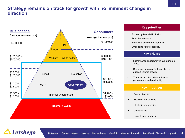### **Strategy remains on track for growth with no imminent change in direction**



Letshego

### **Key priorities**

- Embracing financial inclusion
- Grow the franchise
- Enhancing customer experience
- Embedding future capability

#### **Key drivers**

- Microfinance opportunity in sub-Saharan Africa
- Broad geographical footprint able to support volume growth
- Track record of consistent financial performance and profitability

#### **Key initiatives**

- Agency banking
- Mobile digital banking
- Strategic partnerships
- Cross selling
- Launch new products

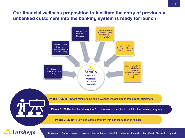### **Our financial wellness proposition to facilitate the entry of previously unbanked customers into the banking system is ready for launch**

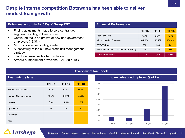GTF

### **Despite intense competition Botswana has been able to deliver modest loan growth**

#### **Botswana accounts for 39% of Group PBT**

- Pricing adjustments made to core central gov segment resulting in lower churn
- Continued focus on growth of new non-government employers (18.3%)
- MSE / invoice discounting started
- Successfully rolled out new credit risk management strategy
- **EXECUTE:** Introduced new flexible term solution
- Arrears & impairment provisions (PAR 30 > 10%)

#### **Financial Performance**

|                                        | H1 16 | H <sub>1</sub> 17 | H <sub>1</sub> 18 |
|----------------------------------------|-------|-------------------|-------------------|
| Loan Loss Rate                         | 1.9%  | $2.2\%$           | 1.7%              |
| NPL's provision Coverage               | 64.5% | 55.2%             | 104.6%            |
| PBT (BWPmn)                            | 252   | 240               | 242               |
| Net disbursements to customers (BWPmn) | 76    | 150               | 188               |
| Advances (BWPmn)                       | 2,110 | 2,316             | 2,317             |

|                         |       |                   |                   | <b>Overview of loan book</b> |
|-------------------------|-------|-------------------|-------------------|------------------------------|
| Loan mix by type        |       |                   |                   |                              |
|                         | H1 16 | H <sub>1</sub> 17 | H <sub>1</sub> 18 | 70%                          |
| Formal - Government     | 76.1% | 67.0%             | 73.1%             | 60%                          |
| Formal - Non-Government | 18.3% | 28.1%             | 23.8%             | 50%                          |
| Housing                 | 5.6%  | 4.8%              | 2.8%              | 40%<br>30%                   |
| Agriculture             |       |                   |                   | 20%                          |
| Education               |       |                   |                   | 10%                          |
| <b>MSE</b>              |       |                   |                   | 0%                           |

### **Loans advanced by term (% of loan)** 0% 10% 20% 30% 40% 50% 60% 70%

0 - 2 yrs 2 - 3 yrs 3 - 5 yrs 5 + yrs

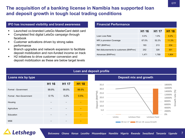### **The acquisition of a banking license in Namibia has supported loan and deposit growth in tough local trading conditions**

#### **IPO has increased visibility and brand awareness Financial Performance**

- Launched co-branded LetsGo MasterCard debit card
- Completed first digital LetsGo campaign through facebook
- Customer activations driven by strong sales performance
- Branch upgrades and network expansion to facilitate deposit mobilization and non-funded income on track
- H2 initiatives to drive customer conversion and deposit mobilization as these are below target levels

|                                        | H <sub>1</sub> 16 | H <sub>1</sub> 17 | H <sub>1</sub> 18 |
|----------------------------------------|-------------------|-------------------|-------------------|
| Loan Loss Rate                         | $0.0\%$           | $1.0\%$           | 0.2%              |
| NPL's provision Coverage               | 67.0%             | 52.2%             | 11.3%             |
| PBT (BWPmn)                            | 163               | 213               | 234               |
| Net disbursements to customers (BWPmn) | 252               | 328               | 301               |
| Advances (BWPmn)                       | 1,471             | 1,789             | 1,904             |





#### GTF

7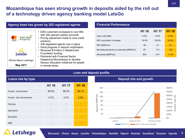## **Mozambique has seen strong growth in deposits aided by the roll out of a technology driven agency banking model LetsGo**

| Agency base has grown by 202 registered agents |                                                                                                                                                                                                                                                                                                                          |  |  |  |  |
|------------------------------------------------|--------------------------------------------------------------------------------------------------------------------------------------------------------------------------------------------------------------------------------------------------------------------------------------------------------------------------|--|--|--|--|
| Fund for Rural<br>Prosperity<br>LetsGo         | • DAS customers increased to over 90k<br>with 24k opened LetsGo accounts<br>• Pricing adjustment made to core credit<br>solutions<br>• 336 registered agents now in place<br>• Good progress in deposit mobilization<br>• Received \$1 million in Master Card<br>Foundation funding<br>• Partnered with Financial Sector |  |  |  |  |
| Winner Banco Letshego<br><b>May 2017</b>       | Deepening Mozambique to develop<br>literacy/ education initiatives for people<br>in remote areas                                                                                                                                                                                                                         |  |  |  |  |
|                                                |                                                                                                                                                                                                                                                                                                                          |  |  |  |  |

#### **Financial Performance**

|                                        | H <sub>1</sub> 16 | H <sub>1</sub> 17 | H <sub>1</sub> 18 |
|----------------------------------------|-------------------|-------------------|-------------------|
| Loan Loss Rate                         | 0.5%              | 5.6%              | 0.7%              |
| NPL's provision Coverage               | 19.9%             | 29.9%             | 30.9%             |
| PBT (BWPmn)                            | 58                | 21                | 61                |
| Net disbursements to customers (BWPmn) | 97                | 171               | 152               |
| Advances (BWPmn)                       | 804               | 917               | 1.124             |

#### **Loan and deposit profile**

| Loans mix by type       |       |       |       |  |  |
|-------------------------|-------|-------|-------|--|--|
|                         | H1 16 | H1 17 | H1 18 |  |  |
| Formal - Government     | 99.3% | 99.3% | 99.1% |  |  |
| Formal - Non-Government | 0.7%  | 0.7%  | 0.9%  |  |  |
| Housing                 |       |       |       |  |  |
| Agriculture             |       |       |       |  |  |
| Education               |       |       |       |  |  |
| <b>MSE</b>              |       |       |       |  |  |

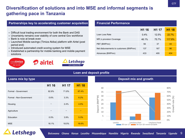## **Diversification of solutions and into MSE and informal segments is gathering pace in Tanzania**

#### **Partnerships key to accelerating customer acquisition Financial Performance**

- § Difficult local trading environment for both the Bank and DAS
- Uncertainty remains over stability of core central Gov workforce
- § Bank is now at break even
- Launched Mobile savings (Timiza Akiba) platform with Airtel (post period end)
- Introduced automated credit scoring system for MSE
- Established a partnership for mobile banking and mobile payment solutions



|                                        | H <sub>1</sub> 16 | H <sub>1</sub> 17 | H <sub>1</sub> 18 |
|----------------------------------------|-------------------|-------------------|-------------------|
| Loan Loss Rate                         | $0.4\%$           | 12.5%             | 22.7%             |
| NPL's provision Coverage               | 46.1%             | 75.7%             | <b>117.8%</b>     |
| PBT (BWPmn)                            | 56                | 37                | 44                |
| Net disbursements to customers (BWPmn) | 137               | 167               | 96                |
| Advances (BWPmn)                       | 433               | 495               | 434               |

#### **Loan and deposit profile**

| Loans mix by type       |       |       |       |  |
|-------------------------|-------|-------|-------|--|
|                         | H1 16 | H1 17 | H1 18 |  |
| Formal - Government     | 82.8% | 71.8% | 67.4% |  |
| Formal - Non-Government | 0.6%  | 3.3%  | 6.2%  |  |
| Housing                 |       | 2.4%  | 4.5%  |  |
| Agriculture             |       |       |       |  |
| Education               | 0.5%  | 3.9%  | 5.3%  |  |
| <b>MSE</b>              | 16.1% | 18.5% | 16.6% |  |

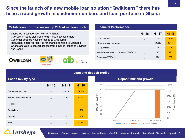#### **Mobile loan portfolio makes up 26% of net loan book Financial Performance**

- Launched in collaboration with MTN Ghana
- § Over 2.6mn loans disbursed to 633, 000 new customers
- § Customer deposits have increased to GHS32mn
- Regulatory approval received for change of name to Letshego Ghana and also to convert license from Finance House to Savings and Loans







|                                        | H <sub>1</sub> 16 | H <sub>1</sub> 17 | H <sub>1</sub> 18 |
|----------------------------------------|-------------------|-------------------|-------------------|
| Loan Loss Rate                         |                   | 2.7%              | 13.0%             |
| NPL's provision Coverage               |                   | 81.3%             | 98.4%             |
| PBT (BWPmn)                            |                   | 17                | 30                |
| Net disbursements to customers (BWPmn) |                   | 93                | 491               |
| Advances (BWPmn)                       |                   | 256               | 553               |

#### **Loan and deposit profile**

| Loans mix by type       |       | <b>Deposit mix and growth</b> |       |                                                                          |
|-------------------------|-------|-------------------------------|-------|--------------------------------------------------------------------------|
|                         | H1 16 | H <sub>1</sub> 17             | H1 18 | 80                                                                       |
| Formal - Government     |       | 99.1%                         | 77.0% | 70<br>60                                                                 |
| Formal - Non-Government |       | 0.9%                          | 0.2%  | Deposit (BWP'M)<br>50                                                    |
| Housing                 |       |                               |       | 40<br>30                                                                 |
| Agriculture             |       |                               | 0.5%  | 20                                                                       |
| Education               |       |                               | 1.9%  | 10                                                                       |
| <b>MSE</b>              |       |                               | 20.4% | LetsSave-Fixed<br>LetsGo<br>LetsSave-Flexi<br>30-Jun-17 30-Jun-18 Growth |



0%

20%

40%

60%

Growth rate (%)

Growth rate (%

80%

100%

120%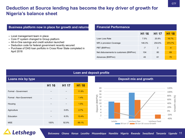### **Deduction at Source lending has become the key driver of growth for Nigeria's balance sheet**

| Business platform now in place for growth and returns                                                                          | <b>Financial Performance</b>           |        |                   |                   |
|--------------------------------------------------------------------------------------------------------------------------------|----------------------------------------|--------|-------------------|-------------------|
| - Local management team in place                                                                                               |                                        | H1 16  | H <sub>1</sub> 17 | H <sub>1</sub> 18 |
| • Core IT system changed to Group platform                                                                                     | Loan Loss Rate                         | 7.5%   | 20.8%             | 16.7%             |
| • All-in-One savings and credit solution launched                                                                              | NPL's provision Coverage               | 146.3% | 254.8%            | 373.7%            |
| - Deduction code for federal government recently secured<br>- Purchase of DAS loan portfolio in Cross River State completed in | PBT (BWPmn)                            | $-7$   | 2                 | $-4$              |
| April 2018                                                                                                                     | Net disbursements to customers (BWPmn) | 104    | 80                | 69                |
|                                                                                                                                | Advances (BWPmn)                       | 45     | 61                | 70                |

#### **Loan and deposit profile**

| Loans mix by type       |                          |                          |       |
|-------------------------|--------------------------|--------------------------|-------|
|                         | H1 16                    | H1 17                    | H1 18 |
| Formal - Government     |                          | $\overline{\phantom{m}}$ | 11.9% |
| Formal - Non-Government |                          | —                        | 1.4%  |
| Housing                 |                          | —                        | 1.5%  |
| Agriculture             | —                        | 0.6%                     | 2.7%  |
| Education               | $\overline{\phantom{0}}$ | 6.5%                     | 13.4% |
| <b>MSE</b>              | 100%                     | 92.9%                    | 69.1% |

## **Letshego**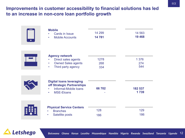### **Improvements in customer accessibility to financial solutions has led to an increase in non-core loan portfolio growth**

| <b>Mobile</b><br><b>Cards in Issue</b><br>$\bullet$<br><b>Mobile Accounts</b><br>$\bullet$                                            | 14 299<br>14781    | 14 5 63<br>19 4 68    |
|---------------------------------------------------------------------------------------------------------------------------------------|--------------------|-----------------------|
| <b>Agency network</b><br>Direct sales agents<br><b>Owned Sales agents</b><br>$\bullet$<br>Third party agency<br>$\bullet$             | 1278<br>268<br>334 | 1 3 7 6<br>274<br>544 |
| <b>Digital loans leveraging</b><br>off Strategic Partnerships<br>Informal-Mobile loans<br>$\bullet$<br><b>MSE-Eloans</b><br>$\bullet$ | 66 702             | 182 537<br>1739       |
| <b>Physical Service Centers</b><br><b>Branches</b><br>Satellite posts                                                                 | 128<br>186         | 129<br>186            |

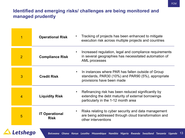## **Identified and emerging risks/ challenges are being monitored and managed prudently**

| 1              | <b>Operational Risk</b>              | Tracking of projects has been enhanced to mitigate<br>execution risk across multiple projects and countries                                     |
|----------------|--------------------------------------|-------------------------------------------------------------------------------------------------------------------------------------------------|
| $\overline{2}$ | <b>Compliance Risk</b>               | Increased regulation, legal and compliance requirements<br>in several geographies has necessitated automation of<br>AML processes               |
| 3              | <b>Credit Risk</b>                   | In instances where PAR has fallen outside of Group<br>standards, PAR30 (10%) and PAR90 (5%), appropriate<br>provisions have been made           |
| 4              | <b>Liquidity Risk</b>                | Refinancing risk has been reduced significantly by<br>extending the debt maturity of external borrowings<br>particularly in the 1-12 month area |
| 5              | <b>IT Operational</b><br><b>Risk</b> | Risks relating to cyber security and data management<br>are being addressed through cloud transformation and<br>other interventions             |

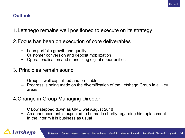### **Outlook**

- 1.Letshego remains well positioned to execute on its strategy
- 2.Focus has been on execution of core deliverables
	- − Loan portfolio growth and quality
	- − Customer conversion and deposit mobilization
	- − Operationalisation and monetizing digital opportunities
- 3. Principles remain sound
	- Group is well capitalized and profitable
	- Progress is being made on the diversification of the Letshego Group in all key areas
- 4.Change in Group Managing Director
	- − C Low stepped down as GMD wef August 2018
	- − An announcement is expected to be made shortly regarding his replacement
	- − In the interim it is business as usual

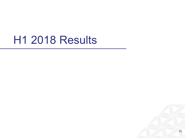## H1 2018 Results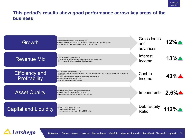### **This period's results show good performance across key areas of the business**





Botswana Ghana Kenya Lesotho Mozambique Namibia Nigeria Rwanda Swaziland Tanzania Uganda 16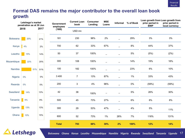## **Formal DAS remains the major contributor to the overall loan book growth**

| Letshego's market<br>penetration as at 30 Jun |              |     | <b>Government</b><br>employees | <b>Current Loan</b><br>book | <b>Consumer</b><br>Lending | <b>MSE</b><br>Loans | Informal<br>% of Book    |                          | prior period in<br><b>BWP</b> | Loan growth from Loan growth from<br>prior period in<br>local currency |       |
|-----------------------------------------------|--------------|-----|--------------------------------|-----------------------------|----------------------------|---------------------|--------------------------|--------------------------|-------------------------------|------------------------------------------------------------------------|-------|
|                                               | 2018<br>2017 |     | (000)                          | USD <sub>mn</sub>           |                            |                     |                          |                          |                               |                                                                        |       |
| <b>Botswana</b>                               | 20%          |     | 21%                            | 181                         | 230                        | 98%                 | 2%                       |                          | 29%                           | $3\%$                                                                  | 3%    |
| Kenya                                         | 4%           |     | 2%                             | 700                         | 62                         | 33%                 | 67%                      |                          | $8\%$                         | 44%                                                                    | 37%   |
| Lesotho                                       | 15%          |     | 14%                            | 50                          | 37                         | 100%                | $\qquad \qquad -$        | $\overline{\phantom{0}}$ | $5\%$                         | (5%)                                                                   | (2%)  |
| Mozambique                                    | 22%          |     | 20%                            | 300                         | 108                        | 100%                | $\overline{\phantom{0}}$ | $\overline{\phantom{0}}$ | 14%                           | 19%                                                                    | 16%   |
| Namibia                                       |              | 51% | 51%                            | 100                         | 182                        | 100%                | $\overline{\phantom{0}}$ | $\overline{\phantom{0}}$ | 23%                           | $6\%$                                                                  | 10%   |
| Nigeria                                       | $0\%$        |     | $0\%$                          | 3 4 0 0                     | $\overline{7}$             | 13%                 | 87%                      |                          | $1\%$                         | 33%                                                                    | 43%   |
| Rwanda                                        | 0%           |     | $0\%$                          | 200                         | 3                          | 4%                  | 96%                      |                          | $0\%$                         | (59%)                                                                  | (59%) |
| Swaziland                                     | 14%          |     | 13%                            | 42                          | $38\,$                     | 100%                | $\overline{\phantom{0}}$ | $\overline{\phantom{0}}$ | $5\%$                         | 26%                                                                    | 30%   |
| Tanzania                                      | 9%           |     | $8\%$                          | 500                         | 45                         | 73%                 | 27%                      |                          | $6\%$                         | $8\%$                                                                  | 8%    |
| Uganda                                        | 13%          |     | 13%                            | 300                         | 29                         | 53%                 | 47%                      | $\overline{\phantom{0}}$ | 4%                            | $5\%$                                                                  | 11%   |
| Ghana                                         | 10%          |     | 15%                            | 600                         | 52                         | 73%                 | 1%                       | 26%                      | 7%                            | 116%                                                                   | 131%  |
|                                               |              |     |                                | <b>Total</b>                | 793                        | 68%                 | 30%                      | 2%                       | 100%                          | 12%                                                                    | 14%   |
| $\blacktriangle$                              |              |     |                                |                             |                            |                     |                          |                          |                               |                                                                        |       |

**ALetshego**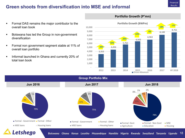#### Financial Results

### **Green shoots from diversification into MSE and informal**

- Formal DAS remains the major contributor to the overall loan book
- Botswana has led the Group in non-government diversification
- Formal non government segment stable at 11% of overall loan portfolio
- **Informal launched in Ghana and currently 20% of** total loan book



#### **Portfolio Growth (P'mn)**

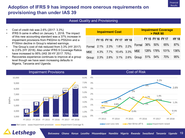## **Adoption of IFRS 9 has imposed more onerous requirements on provisioning than under IAS 39**

#### Asset Quality and Provisioning

- Cost of credit risk was 2.6% (2017: 3.3%)
- IFRS 9 came in effect on January 1, 2018. The impact of this new accounting standard was a 37% increase in impairment provisions from P402mn to P552mn and a P150mn decline in Group's retained earnings.
- The Group's cost of risk reduced from 3.3% (HY 2017) to 2.6% (HY 2018). Also under IFRS 9 Coverage Ratios have increased to 95% (IAS 39 HY 2017: 70%).
- **53%** Nigeria, Tanzania and Uganda. • Recoveries experience continues to improve at a group level though we have seen increasing defaults in

| <b>Impairment Cost</b> |  |                         |  |  | <b>Impairment Coverage</b><br><b>&gt; PAR 90</b> |  |                   |                |              |
|------------------------|--|-------------------------|--|--|--------------------------------------------------|--|-------------------|----------------|--------------|
|                        |  | FY 15 FY 16 FY 17 HY 18 |  |  |                                                  |  | FY 15 FY 16 FY 17 |                | <b>HY 18</b> |
| Formal                 |  | 2.1% 2.3% 1.8% 2.2%     |  |  | Formal 36% 50%                                   |  |                   | 65%            | 87%          |
| <b>MSE</b>             |  | 4.3% 7.7% 10.4% 3.3%    |  |  | <b>MSE</b>                                       |  |                   | 128% 178% 101% | 136%         |
| Group                  |  | 2.3% 2.8% 3.1% 2.6%     |  |  | Group                                            |  | 51% 54%           | 70%            | 95%          |



**Letshego**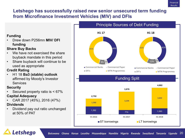## **Letshego has successfully raised new senior unsecured term funding from Microfinance Investment Vehicles (MIV) and DFIs**

### **Funding**

• Drew down P256mn **MIV/ DFI funding**

### **Share Buy Backs**

- **53%** buyback mandate in this period We have not exercised the share
- Share buyback will continue to be used as appropriate

### **Credit Rating**

• H1 18 **Ba3 (stable) outlook** affirmed by Moody's Investor **Services** 

### **Security**

- Secured property ratio is < 67% **Capital Adequacy**
- CAR 2017 (45%), 2016 (47%) **Dividends**
- Dividend pay out ratio unchanged at 50% of PAT



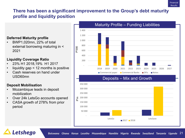### **There has been a significant improvement to the Group's debt maturity profile and liquidity position**

### **Deferred Maturity profile**

• BWP1,020mn, 22% of total external borrowing maturing in < 2021

### **Liquidity Coverage Ratio**

- 23% H1 2018,19% H1 2017
- liquidity gap  $\leq$  12 months is positive
- Cash reserves on hand under USD60mn

### **Deposit Mobilisation**

Letshego

- Mozambique leads in deposit mobilization
- Over 24k LetsGo accounts opened
- CASA growth of 278% from prior period



#### Botswana Ghana Kenya Lesotho Mozambique Namibia Nigeria Rwanda Swaziland Tanzania Uganda 21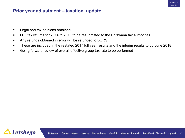### **Prior year adjustment – taxation update**

- Legal and tax opinions obtained
- LHL tax returns for 2014 to 2016 to be resubmitted to the Botswana tax authorities
- § Any refunds obtained in error will be refunded to BURS
- § These are included in the restated 2017 full year results and the interim results to 30 June 2018
- Going forward review of overall effective group tax rate to be performed